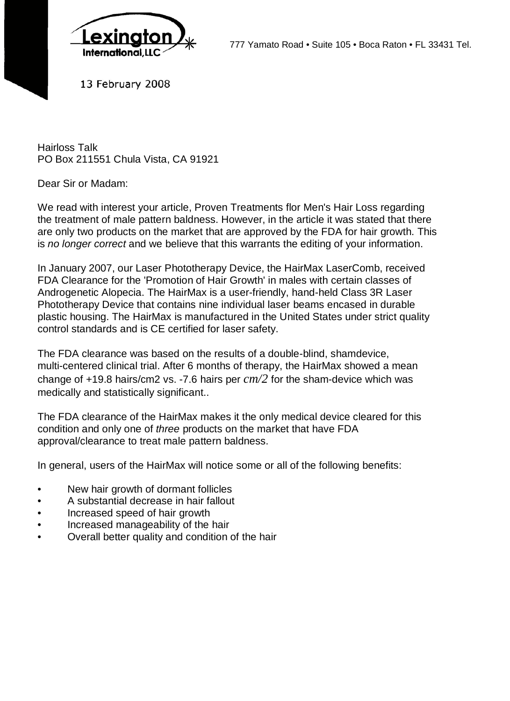

777 Yamato Road • Suite 105 • Boca Raton • FL 33431 Tel.

13 February 2008

Hairloss Talk PO Box 211551 Chula Vista, CA 91921

Dear Sir or Madam:

We read with interest your article, Proven Treatments flor Men's Hair Loss regarding the treatment of male pattern baldness. However, in the article it was stated that there are only two products on the market that are approved by the FDA for hair growth. This is *no longer correct* and we believe that this warrants the editing of your information.

In January 2007, our Laser Phototherapy Device, the HairMax LaserComb, received FDA Clearance for the 'Promotion of Hair Growth' in males with certain classes of Androgenetic Alopecia. The HairMax is a user-friendly, hand-held Class 3R Laser Phototherapy Device that contains nine individual laser beams encased in durable plastic housing. The HairMax is manufactured in the United States under strict quality control standards and is CE certified for laser safety.

The FDA clearance was based on the results of a double-blind, shamdevice, multi-centered clinical trial. After 6 months of therapy, the HairMax showed a mean change of +19.8 hairs/cm2 vs. -7.6 hairs per *cm/2* for the sham-device which was medically and statistically significant..

The FDA clearance of the HairMax makes it the only medical device cleared for this condition and only one of *three* products on the market that have FDA approval/clearance to treat male pattern baldness.

In general, users of the HairMax will notice some or all of the following benefits:

- New hair growth of dormant follicles
- A substantial decrease in hair fallout
- Increased speed of hair growth
- Increased manageability of the hair
- Overall better quality and condition of the hair